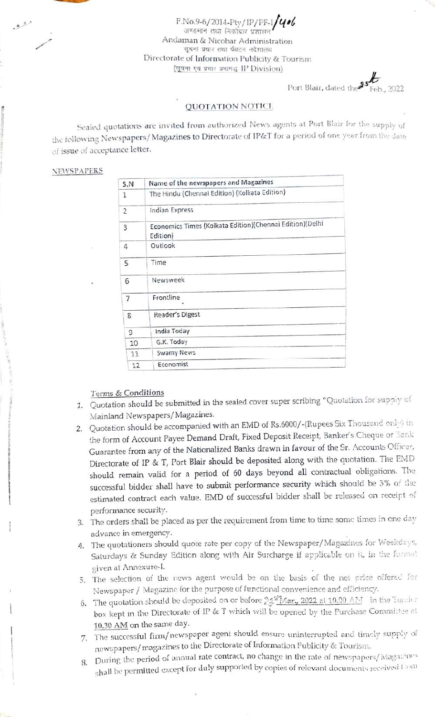F.No.9-6/2014-Pty/IP/PF-I $\frac{q}{q}$ Andaman & Nicobar Administration<br>सूचना प्रचार तथा पेयटन नदेशालय Directorate of Information Publicity & Tourism (सूचना एवं प्रचार प्रभागद्ध IP Division)

Port Blair, dated the <sup>35</sup>

#### QUOTATION NOTICE

Sealed quotations are invited from authorized News agents at Port Blair for the supply of the following Newspapers/ Magazines to Directorate of IP&T for a period of one year from the date of issue of acceptance letter.

#### NEWSPAPERS

لرفن

| S.N | Name of the newspapers and Magazines                                 |
|-----|----------------------------------------------------------------------|
| 1   | The Hindu (Chennai Edition) (Kolkata Edition)                        |
| 2   | Indian Express                                                       |
| 3   | Economics Times (Kolkata Edition)(Chennai Edition)(Delhi<br>Edition) |
| 4   | Outlook                                                              |
| 5   | Time                                                                 |
| 6   | Newsweek                                                             |
| 7   | Frontline                                                            |
| 8   | Reader's Digest                                                      |
| 9   | India Today                                                          |
| 10  | G.K. Today                                                           |
| 11  | <b>Swamy News</b>                                                    |
| 12  | Economist                                                            |

### Terms & Conditions

- 1. Quotation should be submitted in the sealed cover super scribing "Quotation for suppiy of Mainland Newspapers/Magazines.
- 2. Quotation should be accompanied with an EMD of Rs.6000/-(Rupees Six Thousand orly) in the form of Account Payee Demand Draft, Fixed Deposit Receipt, Banker's Cheque or Bark Guarantee from any of the Nationalized Banks drawn in favour of the Sr. Accounts Officer, Directorate of IP & T, Port Blair should be deposited along with the quotation. The EMD should remain valid for a period of 60 days beyond all contractual obligations. The successful bidder shall have to submit performance security which should be 3% of the estimated contract each value. EMD of successful bidder shall be released on receipt of
- performance security.<br>3. The orders shall be placed as per the requirement from time to time some times in one day advance in emergency.
- 4. The quotationers should quote rate per copy of the Newspaper/Magazines for Weekdays, Saturdays & Sunday Edition along with Air Surcharge if applicable on it, in the format given at Annexure-I.
- 5. The selection of the news agent would be on the basis of the net price offered for Newspaper/ Magazine for the purpose of functional convenience and cfficiency.
- 6. The quotation should be deposited on or before  $24\frac{\text{m}}{\text{Mar}}, 2022$  at 10.00 AM in the Tex der box kept in the Directorate of IP & T which will be opened by the Purchase Committee at 10.30 AM on the same day.
- 7. The successful firm/newspaper agent should ensure uninterrupted and timely supply of newspapers/magazines to the Directorate of Intormation Publicity & Tourism.
- S. During the period of annual rate corract, no change in the rate of newspapers/Magazines shall be permitted except for duly supporied by copies of relevant documents received 1om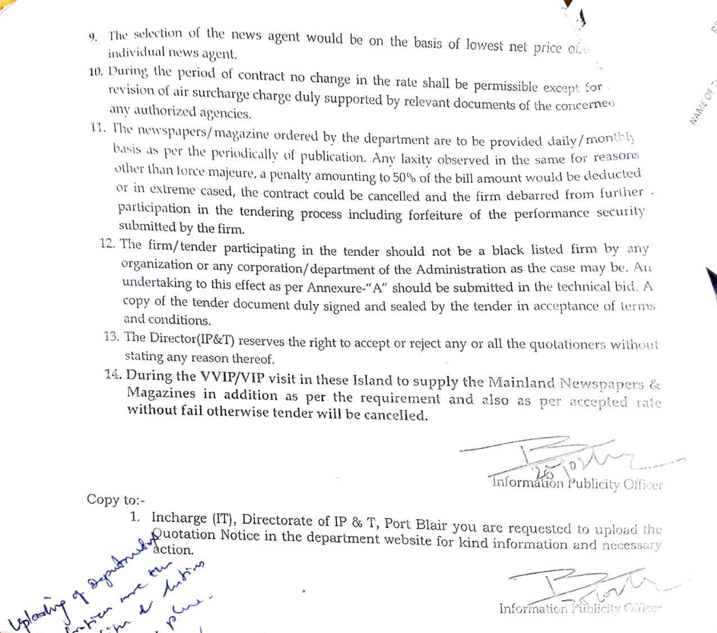- 
- The selection of the news The selection of the hews agent would be on the basis of lowest net price of individual news agent.
- 10. During the period of contract no change in the rate shall be permissible except for revision of air surcharge charge duly supported by relevant documents of the concerned any authorized agencies.
- 11. The newspapers/magazine ordered by the department are to be provided daily/monthly basis as per the periodically of publication. Any laxity observed in the same for reasons other than force majeure, a penalty amounting to 50% of the bill amount would be deducted or in extreme cased, the contract could be cancelled and the firm debarred from further participation in the tendering process including forfeiture of the performance security submitted by the firm.
	- 12. The firm/ tender participating in the tender should not be a black listed firm by any organization or any corporation/ department of the Administration as the case may be.  $An$ undertaking to this effect as per Annexure-"A" should be submitted in the technical bicd. A copy of the tender document duly signed and sealed by the tender in acceptance of terms and conditions.
	- 13. The Director(IP&T) reserves the right to accept or reject any or all the quotationers without stating any reason thereof.
	- 14. During the VVIP/VIP visit in these Island to supply the Mainland Newspapers  $\&$ Magazines in addition as per the requirement and also as per accepted rate without fail otherwise tender will be cancelled.

Informátion Publicity Officer

Copy to:

an K.

1. Incharge (IT), Directorate of IP & T, Port Blair you are requested to upload the Quotation Notice in the department website for kind information and necessary

NAME OF T

Information Publicity Glice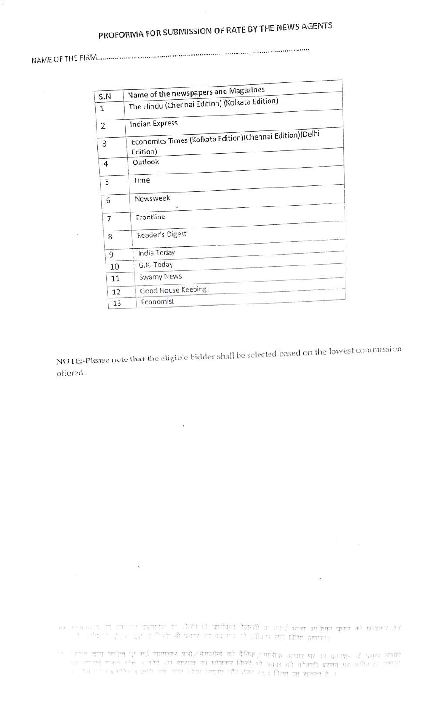# PROFORMA FOR SUBMISSION OF RATE BY THE NEWS AGENTS

\*\*\*\*\*\*\*\*\*\*\*\*\* \*\*\*\*° \*\*\* NAME OF THE FIRM.. \*\*\*\*\*"\*\*\* \*\*\*\*\*\*\*\*\*\*\*\*\*\*\*\*\*\*\*"\* \*\*\*\*\*\*\*\*\*\*\*\*\*\*\*\*\*\*\* \*\*\*"

 $\overline{\tau_1}$ 

 $\overline{\phantom{a}}$ 

| S.N            | Name of the newspapers and Magazines                                 |
|----------------|----------------------------------------------------------------------|
| $\mathbf{1}$   | The Hindu (Chennai Edition) (Kolkata Edition)                        |
| $\overline{2}$ | <b>Indian Express</b>                                                |
| 3              | Economics Times (Kolkata Edition)(Chennai Edition)(Delhi<br>Edition) |
| 4              | Outlook                                                              |
| 5              | Time                                                                 |
| 6              | Newsweek<br>$\circ$                                                  |
| 7              | Frontline                                                            |
| 8              | Reader's Digest                                                      |
| 9              | India Today                                                          |
| 10             | G.K. Today                                                           |
| 11             | Swamy News                                                           |
| 12             | Good House Keeping                                                   |
| 13             | Economist                                                            |

NOTE-Please note that the eligible bidder shall be sclected based on the lowest commission offered.

 $\lambda$ 

ים המשלום לא החובה בחובה המשלום להתקופה במשלום המשלום להתקופה המודרים השלום להיות המשלום להיות להיות להיות להיו<br>המשלום לא החובה בחובה המשלום להתקופה להתקופה בחודשים להיות להיות להיות להיות להיות המשלום להיות המשלום היות

 $\bar{\nu}$ 

र का साल हाल भी देते हो जाते राज्य । जिस साहित और देख रूद किया जा सकता है ।<br>हिम्पा साहित्य को कहना की कोई देने साम्राज्य को खेळाड़ कियों भी प्रकार को कौतानी बराने के कहना है ।<br>हिम्पा साल होना ही कई सामान्य पानी (विकास की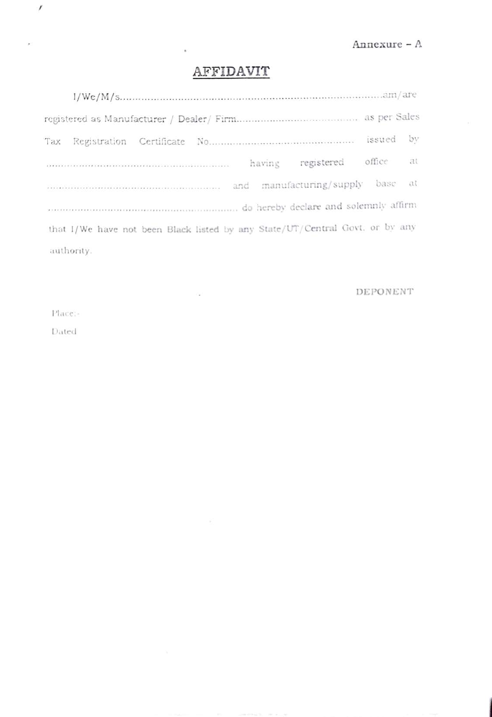## AFFIDAVIT

|                                                                              | bv |
|------------------------------------------------------------------------------|----|
| registered office<br>having                                                  | at |
|                                                                              |    |
| do hereby declare and solemnly affirm                                        |    |
| that I/We have not been Black listed by any State/UT/Central Govt. or by any |    |
| authority.                                                                   |    |

 $\sim$ 

### DEPONENT

Place:

 $\prime$ 

 $\boldsymbol{\mu}$ 

Dated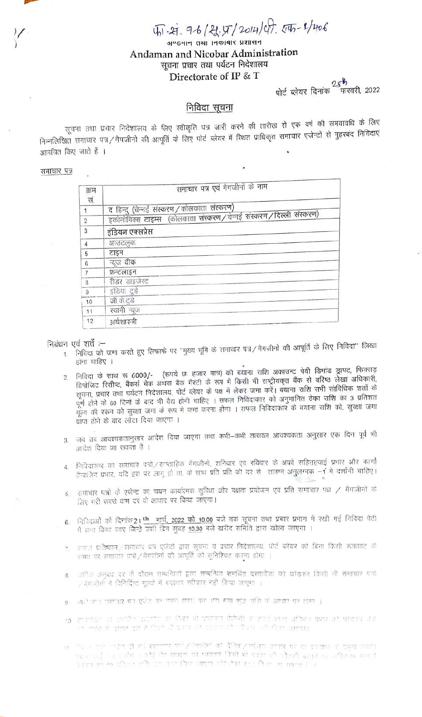4.4.9-6/21.4/2014/07.45-2/406

जण्डमान तथा ।नकाबार प्रशासन Andaman and Nicobar Administration सूचना प्रचार तथा पर्यटन निदेशालय Directorate of IP & T

 $25h$ पोर्ट ब्लेयर दिनांक फरवरी, 2022

#### निविदा सूचना

सूचना तथा प्रचार निदेशालय के लिए स्वीकृति पत्र जारी करने की तारीख से एक वर्ष की समयावधि के लिए निम्नलिखित समाचार पत्र / मैगजीनो की आपूर्ति के लिए पोर्ट ब्लेयर में रिधत प्राधिकृत समाचार एजेन्टों से मुहरबंद निविदाएं आमंत्रित किए जाते हैं ।

#### समाचार पत्र

| क्रम<br>सं.    | समाचार पत्र एवं मैगजीनों के नाम                                   |
|----------------|-------------------------------------------------------------------|
|                | द हिन्दु (चेन्नई संस्करण/कोलकाता संस्करण)                         |
| $\overline{2}$ | इकोनोमिक्स टाइम्स (कोलकाता संस्करण/चेन्नई संस्करण/दिल्ली संस्करण) |
| 3              | इंडियन एक्सप्रेस                                                  |
| 4              | आउटलुक                                                            |
| 5              | टाइम                                                              |
| 6              | न्यूज वीक                                                         |
| 7              | फ़न्टलाइन                                                         |
| 8              | रीडर डाइजेस्ट                                                     |
| 9              | इंडिया दुडे                                                       |
| 10             | जी.के.टुडे                                                        |
| 11             | स्वामी न्यूज                                                      |
| 12             | अर्थशास्त्री                                                      |

#### निबंधन एवं शर्तें :–

- 1. निविदा को जमा करते हुए लिफाफे पर "मुख्य भूमि के समाचार पत्र/मैगजीनों की आपूर्ति के लिए निविदा" लिखा होना चाहिए ।
- निविदा के साथ रू 6000/- (रूपये छः हजार मात्र) की बयाना राशि अकाउन्ट पेयी डिमांड ड्राफ्ट, फिक्सड़ डिपोजिट रिसीप्ट, बैंकर्स चेक अथवा बैंक गैरंटी के रूप में किसी भी राष्ट्रीयकृत बैंक से वरिष्ठ लेखा अधिकारी,  $\mathcal{P}$ सूचना, प्रचार तथा पर्यटन निदेशालय, पोर्ट ब्लेयर के पक्ष में लेकर जमा करें। बयाना राशि सभी सांविधिक शर्तों के पूर्ण होने के 60 दिनों के बाद भी वैद्य होनी चाहिए । सफल निविदाकार को अनुमानित ठेका राशि का 3 प्रतिशत .<br>मूल्य की रकम को सुरक्षा जमा के रूप में जमा करना होगा । सफल निविदाकार के बयाना राशि को, सुरक्षा जमा प्राप्त होने के बाद लौटा दिया जाएगा ।
- 3. जब तब आवश्यकतानुसार आदेश दिया जाएगा तथा कभी–कभी तत्काल आवश्यकता अनुसार एक दिन पूर्व भी आदेश दिया जा सकता है ।
- निविदाकार को समाचार पत्रो / सण्ताहिक मैगजीनो, शनिवार एवं रविवार के अर्कों सहितहवाई प्रभार और कार्गो  $\Lambda$ . हैन्डलिंग प्रभार, यदि इस पर लागू हो ता, के साथ प्रति प्रति की दर से 'सलग्न अनुलग्नक -1' में दर्शानी चाहिए।
- समाचार पत्नों के एजेन्ट का चयन कार्यात्मक सुविधा और दक्षता प्रयोजन एवं प्रति समाचार पन्न / मैगजीनों के 5. लिए भरी सबसे कम दर के आधार पर किया जाएगा।
- निविदाओं को दिनांक2। th मार्च, 2022 को 10.00 बजे तक सूचना तथा प्रचार प्रभाग में रखी गई निविदा पेटी  $6 -$ में जमा किया जाए जिन्हे उसी दिन सुबह 10.30 बजे खरीद समिति द्वारा खोला जाएगा ।
- 7. रायाज़ प्रतिष्ठान/समाधार पत्र एजेंटो द्वारा सूचना व प्रचार निदेशालय, पोर्ट ब्लेयर को बिना किसी रूकावट के रामय पर समाचार पंजो / मैगजीनो की आपूर्ति को सुनिश्चित करना होगा ।
- ्राधिक अनुबंध दर के दौरान सम्बन्धितों द्वारा सम्बन्धित समर्थित दस्तावेजा को छोड़कर किसी भी समाचार पत्रों  $8$ / नेमजीनों से विनिर्दिष्ट मूल्यों में बदलाव स्वीकार नहीं किया जाएगा ।
- ्याते प्रान्त समापार बाद एवंदि का नामन सदरों कर भया गया शुद्ध राशि वो आधार पर होगा ।
- 10. साहनेपुर या साहित करातीय या दियों भी प्रयोगत ऐसेली ना हार्ट् भारा अधिगर क्यार को छोटाउर देखे أطلبها فالرواوا والأراد والريا وبالأفاظ والمراري والأسواء والأرام والمراس المراسي المراسي
- فللعاظ فأقت إن العلاقة اللا كم فلاحظ طولية المرارية ربع رهزاطي / ربط فسماء إلم للإسلامي الحرب الحربي ال पर राज्यते । स्वास्थ्यः । अदि यो यात्रया को प्रोडेकर जिसी भी प्रवार यो वोजनी बराते पर अधिकांस मामठो .<br>בין המשתת היה לא מלו המלון המשתה הולל הכדירה ולהי אירו להיו מאירה בין ו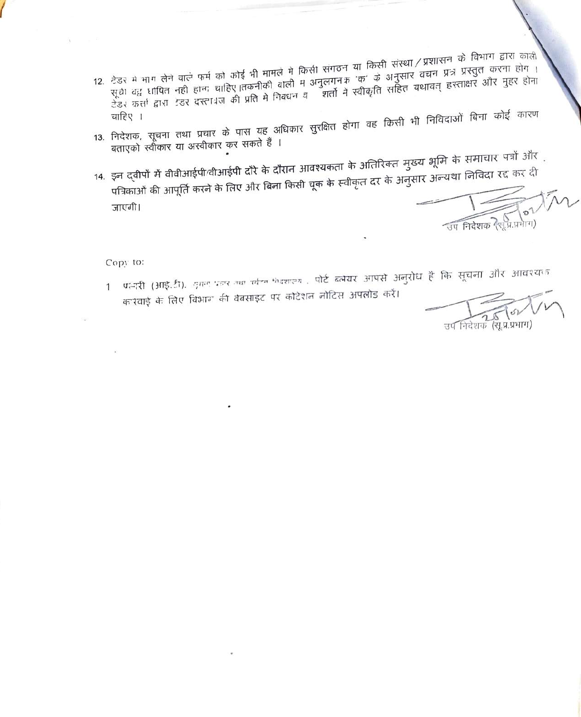- 12. टेडर में भाग लेने वाले फर्म को कोई भी मामले में किसी संगठन या किसी संस्था / प्रशासन के विभाग द्वारा काली<br>गाउंग गाउंग की निकटन की देखें की संगीत के लिए किसी संगठन या किसी संस्था / प्रशासन के विभाग द्वारा काली सूचे वद् धायित नही हानः चाहिए।तकनीको बाली म अनुलगनक 'क' के अनुसार वचन प्रत्र प्रस्तुत करना होग<br>रेना कर्ना नाम नाम कार्या के लिए हो हो कि बाली में अनुलगनक 'क' के अनुसार वचन कार्या और गाम के टेडर कर्त्ता द्वारा टंडर दस्ता ज की प्रति मे निवधन व शर्ता ने स्वीकृति सहित यथावत् हस्ताक्षर और मुहर होना<br>जनिष्ठ
- 13. निदेशक, सूचना तथा प्रचार के पास यह अधिकार सुरक्षित होगा वह किसी भी निविदाओं बिना कोई कारण बताएको स्वीकार या अस्वीकार कर सकते हैं ।
- 14. इन दवीपों में वीवीआईपी/वीआईपी दौरे के दौरान आवश्यकता के अतिरिक्त मुख्य भूमि के समाचार पत्रों और पत्रिकाओं की आपूर्ति करने के लिए और बिना किसी चूक के स्वीकृत दर के अनुसार अन्यथा निविदा रद्द कर दी जाएगी।

उप निदेशक रैशू प्राप्तगाग)

Copy to:

प्रभारी (आई.टी). जुमन पहार उथा फोरन मेडशाल्य , पोर्ट ब्लेयर आपसे अनुरोध है कि सूचना और आवश्यक  $\mathbf{1}$ कारवाई के लिए विभाग की वेबसाइट पर कोटेशन नोटिस अपलोड करें।

उप निदेशक (स.प्र.प्रभाग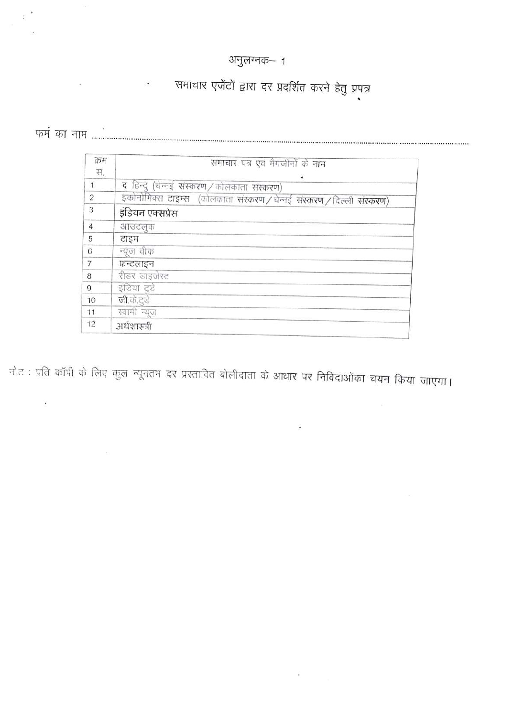## अनुलग्नक–1

# . समाचार एजेंटों द्वारा दर प्रदर्शित करने हेतु प्रपत्र

 $\widetilde{\mathbf{a}}$ 

 $\tilde{\varepsilon}$ 

| क्रम           | समाचार पत्र एवं मैगजीनों के नाम                                       |
|----------------|-----------------------------------------------------------------------|
| सं.            | ۰                                                                     |
| 1              | द हिन्दू (चेन्नई संस्करण / कोलकाता संस्करण)                           |
| $\overline{c}$ | इकोनोमिक्स टाइम्स (कोलकाता संस्करण / चेन्नई संस्करण / दिल्ली संस्करण) |
| 3              | इंडियन एक्सप्रेस                                                      |
| 4              | आउटलुक                                                                |
| 5              | टाइम                                                                  |
| 6              | न्यूज वीक                                                             |
| $\overline{7}$ | फ्रन्टलाइन                                                            |
| 8              | रीडर डाइजेस्ट                                                         |
| $\Omega$       | इंडिया टुडे                                                           |
| 10             | जी.के.ट्डे                                                            |
| 11             | स्वामी न्यूज                                                          |
| 12             | अर्थशास्त्री                                                          |

नोट : प्रति कॉपी के लिए कुल न्यूनतम दर प्रस्तावित बोलीदाता के आधार पर निविदाओंका चयन किया जाएगा।

 $\bullet$ 

 $\alpha$